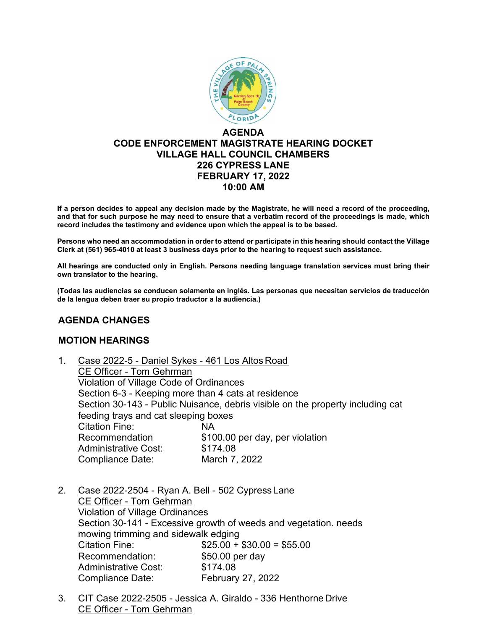

# **AGENDA CODE ENFORCEMENT MAGISTRATE HEARING DOCKET VILLAGE HALL COUNCIL CHAMBERS 226 CYPRESS LANE FEBRUARY 17, 2022 10:00 AM**

**If a person decides to appeal any decision made by the Magistrate, he will need a record of the proceeding, and that for such purpose he may need to ensure that a verbatim record of the proceedings is made, which record includes the testimony and evidence upon which the appeal is to be based.**

**Persons who need an accommodation in order to attend or participate in this hearing should contact the Village Clerk at (561) 965-4010 at least 3 business days prior to the hearing to request such assistance.**

**All hearings are conducted only in English. Persons needing language translation services must bring their own translator to the hearing.**

**(Todas las audiencias se conducen solamente en inglés. Las personas que necesitan servicios de traducción de la lengua deben traer su propio traductor a la audiencia.)**

## **AGENDA CHANGES**

#### **MOTION HEARINGS**

| 1. | Case 2022-5 - Daniel Sykes - 461 Los Altos Road                                                                                                                               |                                 |  |
|----|-------------------------------------------------------------------------------------------------------------------------------------------------------------------------------|---------------------------------|--|
|    | CE Officer - Tom Gehrman                                                                                                                                                      |                                 |  |
|    | Violation of Village Code of Ordinances                                                                                                                                       |                                 |  |
|    | Section 6-3 - Keeping more than 4 cats at residence<br>Section 30-143 - Public Nuisance, debris visible on the property including cat<br>feeding trays and cat sleeping boxes |                                 |  |
|    |                                                                                                                                                                               |                                 |  |
|    |                                                                                                                                                                               |                                 |  |
|    | <b>Citation Fine:</b>                                                                                                                                                         | <b>NA</b>                       |  |
|    | Recommendation                                                                                                                                                                | \$100.00 per day, per violation |  |
|    | <b>Administrative Cost:</b>                                                                                                                                                   | \$174.08                        |  |
|    | <b>Compliance Date:</b>                                                                                                                                                       | March 7, 2022                   |  |
|    |                                                                                                                                                                               |                                 |  |

2. Case 2022-2504 - Ryan A. Bell - 502 Cypress Lane CE Officer - Tom Gehrman Violation of Village Ordinances Section 30-141 - Excessive growth of weeds and vegetation. needs mowing trimming and sidewalk edging Citation Fine:  $$25.00 + $30.00 = $55.00$ Recommendation: \$50.00 per day Administrative Cost: \$174.08 Compliance Date: February 27, 2022

3. CIT Case 2022-2505 - Jessica A. Giraldo - 336 Henthorne Drive CE Officer - Tom Gehrman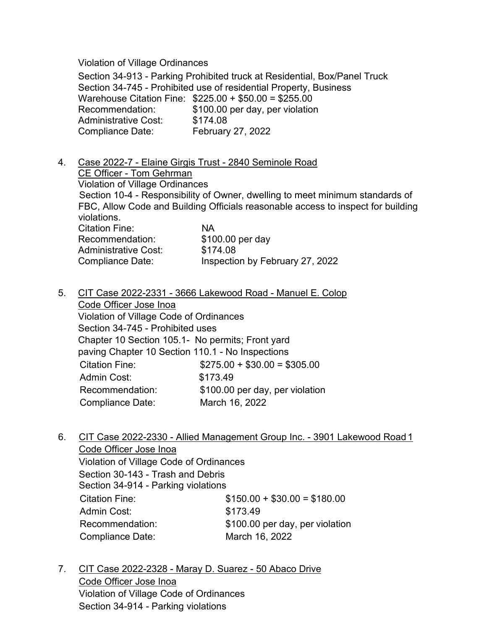Violation of Village Ordinances

Section 34-913 - Parking Prohibited truck at Residential, Box/Panel Truck Section 34-745 - Prohibited use of residential Property, Business Warehouse Citation Fine:  $$225.00 + $50.00 = $255.00$ <br>Recommendation:  $$100.00$  per day, per violation \$100.00 per day, per violation Administrative Cost: \$174.08 Compliance Date: February 27, 2022

- 4. Case 2022-7 Elaine Girgis Trust 2840 Seminole Road CE Officer - Tom Gehrman Violation of Village Ordinances Section 10-4 - Responsibility of Owner, dwelling to meet minimum standards of FBC, Allow Code and Building Officials reasonable access to inspect for building violations. Citation Fine: NA Recommendation: \$100.00 per day<br>Administrative Cost: \$174.08 Administrative Cost: Compliance Date: Inspection by February 27, 2022
- 5. CIT Case 2022-2331 3666 Lakewood Road Manuel E. Colop Code Officer Jose Inoa Violation of Village Code of Ordinances Section 34-745 - Prohibited uses Chapter 10 Section 105.1- No permits; Front yard paving Chapter 10 Section 110.1 - No Inspections Citation Fine: \$275.00 + \$30.00 = \$305.00 Admin Cost: \$173.49 Recommendation: \$100.00 per day, per violation Compliance Date: March 16, 2022
- 6. CIT Case 2022-2330 Allied Management Group Inc. 3901 Lakewood Road 1 Code Officer Jose Inoa Violation of Village Code of Ordinances

Section 30-143 - Trash and Debris Section 34-914 - Parking violations Citation Fine: \$150.00 + \$30.00 = \$180.00 Admin Cost: \$173.49 Recommendation: \$100.00 per day, per violation Compliance Date: March 16, 2022

7. CIT Case 2022-2328 - Maray D. Suarez - 50 Abaco Drive Code Officer Jose Inoa Violation of Village Code of Ordinances Section 34-914 - Parking violations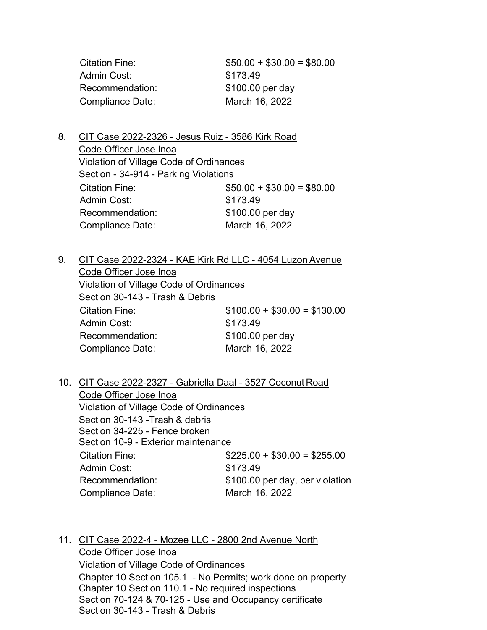| Citation Fine:   | $$50.00 + $30.00 = $80.00$ |
|------------------|----------------------------|
| Admin Cost:      | \$173.49                   |
| Recommendation:  | \$100.00 per day           |
| Compliance Date: | March 16, 2022             |

8. CIT Case 2022-2326 - Jesus Ruiz - 3586 Kirk Road Code Officer Jose Inoa Violation of Village Code of Ordinances Section - 34-914 - Parking Violations Citation Fine:  $$50.00 + $30.00 = $80.00$ Admin Cost: \$173.49 Recommendation: \$100.00 per day Compliance Date: March 16, 2022

9. CIT Case 2022-2324 - KAE Kirk Rd LLC - 4054 Luzon Avenue Code Officer Jose Inoa Violation of Village Code of Ordinances Section 30-143 - Trash & Debris Citation Fine: \$100.00 + \$30.00 = \$130.00 Admin Cost: \$173.49 Recommendation: \$100.00 per day Compliance Date: March 16, 2022

10. CIT Case 2022-2327 - Gabriella Daal - 3527 Coconut Road Code Officer Jose Inoa Violation of Village Code of Ordinances Section 30-143 -Trash & debris Section 34-225 - Fence broken Section 10-9 - Exterior maintenance Citation Fine:  $$225.00 + $30.00 = $255.00$ Admin Cost: \$173.49 Recommendation: \$100.00 per day, per violation Compliance Date: March 16, 2022

11. CIT Case 2022-4 - Mozee LLC - 2800 2nd Avenue North

Code Officer Jose Inoa Violation of Village Code of Ordinances Chapter 10 Section 105.1 - No Permits; work done on property Chapter 10 Section 110.1 - No required inspections Section 70-124 & 70-125 - Use and Occupancy certificate Section 30-143 - Trash & Debris